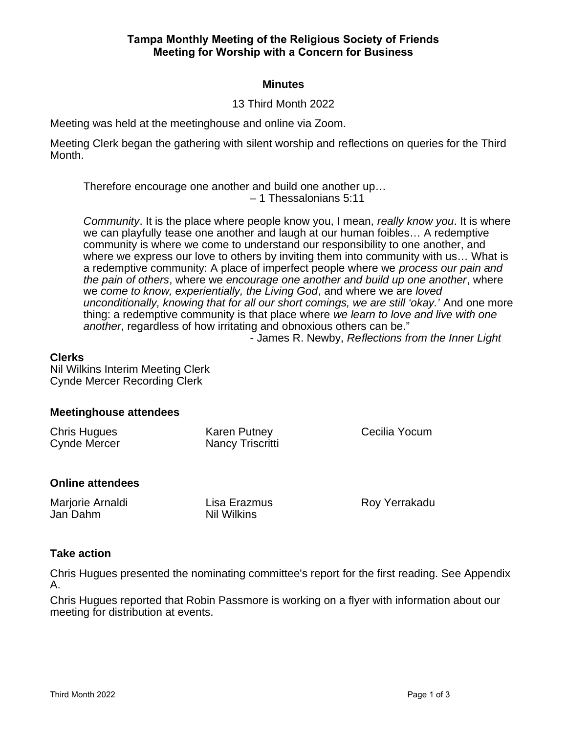## **Tampa Monthly Meeting of the Religious Society of Friends Meeting for Worship with a Concern for Business**

### **Minutes**

### 13 Third Month 2022

Meeting was held at the meetinghouse and online via Zoom.

Meeting Clerk began the gathering with silent worship and reflections on queries for the Third Month.

Therefore encourage one another and build one another up… – 1 Thessalonians 5:11

Community. It is the place where people know you, I mean, really know you. It is where we can playfully tease one another and laugh at our human foibles… A redemptive community is where we come to understand our responsibility to one another, and where we express our love to others by inviting them into community with us… What is a redemptive community: A place of imperfect people where we process our pain and the pain of others, where we encourage one another and build up one another, where we come to know, experientially, the Living God, and where we are loved unconditionally, knowing that for all our short comings, we are still 'okay.' And one more thing: a redemptive community is that place where we learn to love and live with one another, regardless of how irritating and obnoxious others can be."

- James R. Newby, Reflections from the Inner Light

#### **Clerks**

Nil Wilkins Interim Meeting Clerk Cynde Mercer Recording Clerk

#### **Meetinghouse attendees**

| Chris Hugues<br>Cynde Mercer | Karen Putney<br>Nancy Triscritti | Cecilia Yocum |
|------------------------------|----------------------------------|---------------|
|                              |                                  |               |

#### **Online attendees**

Marjorie Arnaldi Jan Dahm

Lisa Erazmus Nil Wilkins

Roy Yerrakadu

## **Take action**

Chris Hugues presented the nominating committee's report for the first reading. See Appendix A.

Chris Hugues reported that Robin Passmore is working on a flyer with information about our meeting for distribution at events.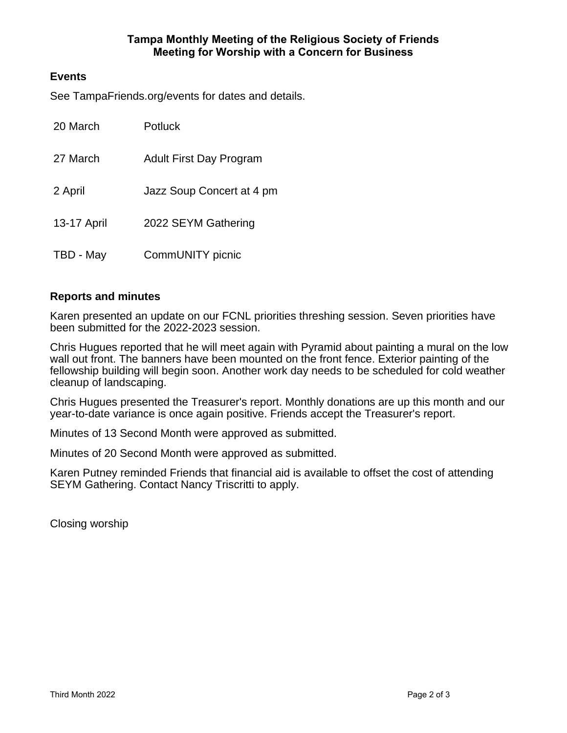## **Tampa Monthly Meeting of the Religious Society of Friends Meeting for Worship with a Concern for Business**

## **Events**

See TampaFriends.org/events for dates and details.

| 20 March    | Potluck                   |
|-------------|---------------------------|
| 27 March    | Adult First Day Program   |
| 2 April     | Jazz Soup Concert at 4 pm |
| 13-17 April | 2022 SEYM Gathering       |
| TBD - May   | CommUNITY picnic          |

## **Reports and minutes**

Karen presented an update on our FCNL priorities threshing session. Seven priorities have been submitted for the 2022-2023 session.

Chris Hugues reported that he will meet again with Pyramid about painting a mural on the low wall out front. The banners have been mounted on the front fence. Exterior painting of the fellowship building will begin soon. Another work day needs to be scheduled for cold weather cleanup of landscaping.

Chris Hugues presented the Treasurer's report. Monthly donations are up this month and our year-to-date variance is once again positive. Friends accept the Treasurer's report.

Minutes of 13 Second Month were approved as submitted.

Minutes of 20 Second Month were approved as submitted.

Karen Putney reminded Friends that financial aid is available to offset the cost of attending SEYM Gathering. Contact Nancy Triscritti to apply.

Closing worship